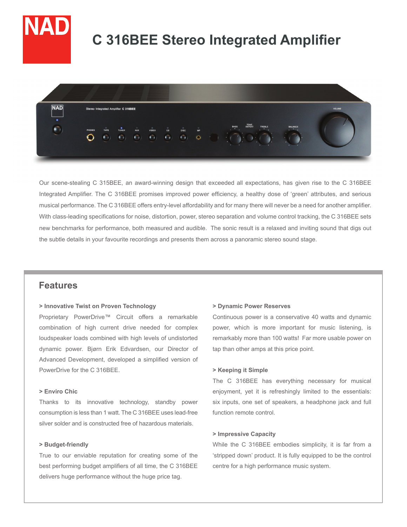

# **C 316BEE Stereo Integrated Amplifier**



Our scene-stealing C 315BEE, an award-winning design that exceeded all expectations, has given rise to the C 316BEE Integrated Amplifier. The C 316BEE promises improved power efficiency, a healthy dose of 'green' attributes, and serious musical performance. The C 316BEE offers entry-level affordability and for many there will never be a need for another amplifier. With class-leading specifications for noise, distortion, power, stereo separation and volume control tracking, the C 316BEE sets new benchmarks for performance, both measured and audible. The sonic result is a relaxed and inviting sound that digs out the subtle details in your favourite recordings and presents them across a panoramic stereo sound stage.

# **Features**

#### **> Innovative Twist on Proven Technology**

Proprietary PowerDrive™ Circuit offers a remarkable combination of high current drive needed for complex loudspeaker loads combined with high levels of undistorted dynamic power. Bjørn Erik Edvardsen, our Director of Advanced Development, developed a simplified version of PowerDrive for the C 316BEE.

# **> Enviro Chic**

Thanks to its innovative technology, standby power consumption is less than 1 watt. The C 316BEE uses lead-free silver solder and is constructed free of hazardous materials.

## **> Budget-friendly**

True to our enviable reputation for creating some of the best performing budget amplifiers of all time, the C 316BEE delivers huge performance without the huge price tag.

#### **> Dynamic Power Reserves**

Continuous power is a conservative 40 watts and dynamic power, which is more important for music listening, is remarkably more than 100 watts! Far more usable power on tap than other amps at this price point.

#### **> Keeping it Simple**

The C 316BEE has everything necessary for musical enjoyment, yet it is refreshingly limited to the essentials: six inputs, one set of speakers, a headphone jack and full function remote control.

#### **> Impressive Capacity**

While the C 316BEE embodies simplicity, it is far from a 'stripped down' product. It is fully equipped to be the control centre for a high performance music system.